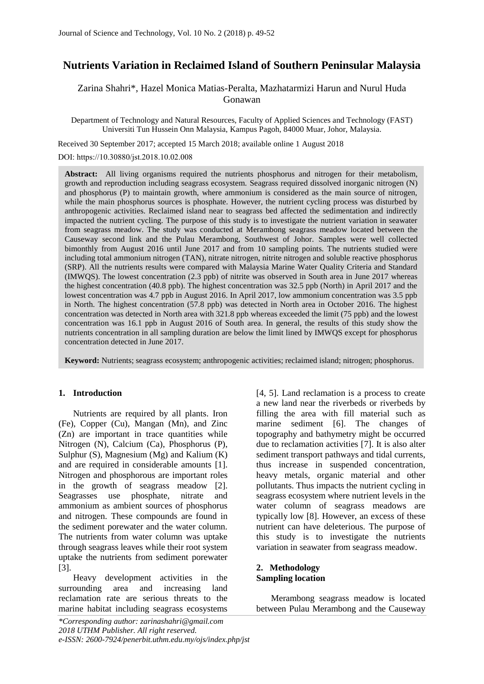# **Nutrients Variation in Reclaimed Island of Southern Peninsular Malaysia**

Zarina Shahri\*, Hazel Monica Matias-Peralta, Mazhatarmizi Harun and Nurul Huda Gonawan

Department of Technology and Natural Resources, Faculty of Applied Sciences and Technology (FAST) Universiti Tun Hussein Onn Malaysia, Kampus Pagoh, 84000 Muar, Johor, Malaysia.

Received 30 September 2017; accepted 15 March 2018; available online 1 August 2018 DOI: https://10.30880/jst.2018.10.02.008

**Abstract:** All living organisms required the nutrients phosphorus and nitrogen for their metabolism, growth and reproduction including seagrass ecosystem. Seagrass required dissolved inorganic nitrogen (N) and phosphorus (P) to maintain growth, where ammonium is considered as the main source of nitrogen, while the main phosphorus sources is phosphate. However, the nutrient cycling process was disturbed by anthropogenic activities. Reclaimed island near to seagrass bed affected the sedimentation and indirectly impacted the nutrient cycling. The purpose of this study is to investigate the nutrient variation in seawater from seagrass meadow. The study was conducted at Merambong seagrass meadow located between the Causeway second link and the Pulau Merambong, Southwest of Johor. Samples were well collected bimonthly from August 2016 until June 2017 and from 10 sampling points. The nutrients studied were including total ammonium nitrogen (TAN), nitrate nitrogen, nitrite nitrogen and soluble reactive phosphorus (SRP). All the nutrients results were compared with Malaysia Marine Water Quality Criteria and Standard (IMWQS). The lowest concentration (2.3 ppb) of nitrite was observed in South area in June 2017 whereas the highest concentration (40.8 ppb). The highest concentration was 32.5 ppb (North) in April 2017 and the lowest concentration was 4.7 ppb in August 2016. In April 2017, low ammonium concentration was 3.5 ppb in North. The highest concentration (57.8 ppb) was detected in North area in October 2016. The highest concentration was detected in North area with 321.8 ppb whereas exceeded the limit (75 ppb) and the lowest concentration was 16.1 ppb in August 2016 of South area. In general, the results of this study show the nutrients concentration in all sampling duration are below the limit lined by IMWQS except for phosphorus concentration detected in June 2017.

**Keyword:** Nutrients; seagrass ecosystem; anthropogenic activities; reclaimed island; nitrogen; phosphorus.

# **1. Introduction**

Nutrients are required by all plants. Iron (Fe), Copper (Cu), Mangan (Mn), and Zinc (Zn) are important in trace quantities while Nitrogen (N), Calcium (Ca), Phosphorus (P), Sulphur (S), Magnesium (Mg) and Kalium (K) and are required in considerable amounts [1]. Nitrogen and phosphorous are important roles in the growth of seagrass meadow [2]. Seagrasses use phosphate, nitrate and ammonium as ambient sources of phosphorus and nitrogen. These compounds are found in the sediment porewater and the water column. The nutrients from water column was uptake through seagrass leaves while their root system uptake the nutrients from sediment porewater [3].

Heavy development activities in the surrounding area and increasing land reclamation rate are serious threats to the marine habitat including seagrass ecosystems

*\*Corresponding author: zarinashahri@gmail.com 2018 UTHM Publisher. All right reserved. e-ISSN: 2600-7924/penerbit.uthm.edu.my/ojs/index.php/jst* 

[4, 5]. Land reclamation is a process to create a new land near the riverbeds or riverbeds by filling the area with fill material such as marine sediment [6]. The changes of topography and bathymetry might be occurred due to reclamation activities [7]. It is also alter sediment transport pathways and tidal currents, thus increase in suspended concentration, heavy metals, organic material and other pollutants. Thus impacts the nutrient cycling in seagrass ecosystem where nutrient levels in the water column of seagrass meadows are typically low [8]. However, an excess of these nutrient can have deleterious. The purpose of this study is to investigate the nutrients variation in seawater from seagrass meadow.

# **2. Methodology Sampling location**

Merambong seagrass meadow is located between Pulau Merambong and the Causeway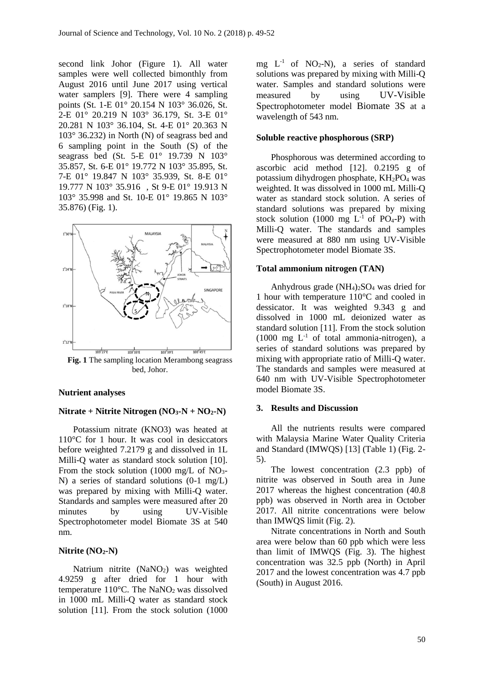second link Johor (Figure 1). All water samples were well collected bimonthly from August 2016 until June 2017 using vertical water samplers [9]. There were 4 sampling points (St. 1-E 01° 20.154 N 103° 36.026, St. 2-E 01° 20.219 N 103° 36.179, St. 3-E 01° 20.281 N 103° 36.104, St. 4-E 01° 20.363 N 103° 36.232) in North (N) of seagrass bed and 6 sampling point in the South (S) of the seagrass bed (St. 5-E 01° 19.739 N 103° 35.857, St. 6-E 01° 19.772 N 103° 35.895, St. 7-E 01° 19.847 N 103° 35.939, St. 8-E 01° 19.777 N 103° 35.916 , St 9-E 01° 19.913 N 103° 35.998 and St. 10-E 01° 19.865 N 103° 35.876) (Fig. 1).



**Fig. 1** The sampling location Merambong seagrass bed, Johor.

## **Nutrient analyses**

### **Nitrate + Nitrite Nitrogen (NO3-N + NO2-N)**

Potassium nitrate (KNO3) was heated at 110°C for 1 hour. It was cool in desiccators before weighted 7.2179 g and dissolved in 1L Milli-Q water as standard stock solution [10]. From the stock solution (1000 mg/L of  $NO<sub>3</sub>$ -N) a series of standard solutions (0-1 mg/L) was prepared by mixing with Milli-Q water. Standards and samples were measured after 20 minutes by using UV-Visible Spectrophotometer model Biomate 3S at 540 nm.

## **Nitrite (NO2-N)**

Natrium nitrite (NaNO<sub>2</sub>) was weighted 4.9259 g after dried for 1 hour with temperature  $110^{\circ}$ C. The NaNO<sub>2</sub> was dissolved in 1000 mL Milli-Q water as standard stock solution [11]. From the stock solution (1000 mg  $L^{-1}$  of NO<sub>2</sub>-N), a series of standard solutions was prepared by mixing with Milli-Q water. Samples and standard solutions were measured by using UV-Visible Spectrophotometer model Biomate 3S at a wavelength of 543 nm.

## **Soluble reactive phosphorous (SRP)**

Phosphorous was determined according to ascorbic acid method [12]. 0.2195 g of potassium dihydrogen phosphate, KH2PO<sup>4</sup> was weighted. It was dissolved in 1000 mL Milli-Q water as standard stock solution. A series of standard solutions was prepared by mixing stock solution (1000 mg  $L^{-1}$  of PO<sub>4</sub>-P) with Milli-Q water. The standards and samples were measured at 880 nm using UV-Visible Spectrophotometer model Biomate 3S.

#### **Total ammonium nitrogen (TAN)**

Anhydrous grade  $(NH_4)_2SO_4$  was dried for 1 hour with temperature 110°C and cooled in dessicator. It was weighted 9.343 g and dissolved in 1000 mL deionized water as standard solution [11]. From the stock solution (1000 mg  $L^{-1}$  of total ammonia-nitrogen), a series of standard solutions was prepared by mixing with appropriate ratio of Milli-Q water. The standards and samples were measured at 640 nm with UV-Visible Spectrophotometer model Biomate 3S.

### **3. Results and Discussion**

All the nutrients results were compared with Malaysia Marine Water Quality Criteria and Standard (IMWQS) [13] (Table 1) (Fig. 2- 5).

The lowest concentration (2.3 ppb) of nitrite was observed in South area in June 2017 whereas the highest concentration (40.8 ppb) was observed in North area in October 2017. All nitrite concentrations were below than IMWQS limit (Fig. 2).

Nitrate concentrations in North and South area were below than 60 ppb which were less than limit of IMWQS (Fig. 3). The highest concentration was 32.5 ppb (North) in April 2017 and the lowest concentration was 4.7 ppb (South) in August 2016.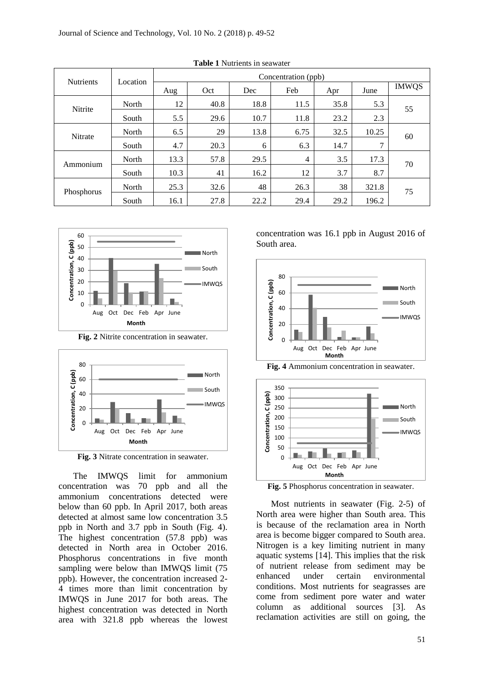| <b>Nutrients</b> | Location | Concentration (ppb) |      |      |      |      |       |              |
|------------------|----------|---------------------|------|------|------|------|-------|--------------|
|                  |          | Aug                 | Oct  | Dec  | Feb  | Apr  | June  | <b>IMWQS</b> |
| <b>Nitrite</b>   | North    | 12                  | 40.8 | 18.8 | 11.5 | 35.8 | 5.3   | 55           |
|                  | South    | 5.5                 | 29.6 | 10.7 | 11.8 | 23.2 | 2.3   |              |
| Nitrate          | North    | 6.5                 | 29   | 13.8 | 6.75 | 32.5 | 10.25 | 60           |
|                  | South    | 4.7                 | 20.3 | 6    | 6.3  | 14.7 | 7     |              |
| Ammonium         | North    | 13.3                | 57.8 | 29.5 | 4    | 3.5  | 17.3  | 70           |
|                  | South    | 10.3                | 41   | 16.2 | 12   | 3.7  | 8.7   |              |
| Phosphorus       | North    | 25.3                | 32.6 | 48   | 26.3 | 38   | 321.8 | 75           |
|                  | South    | 16.1                | 27.8 | 22.2 | 29.4 | 29.2 | 196.2 |              |

**Table 1** Nutrients in seawater



**Fig. 2** Nitrite concentration in seawater.



**Fig. 3** Nitrate concentration in seawater.

The IMWQS limit for ammonium concentration was 70 ppb and all the ammonium concentrations detected were below than 60 ppb. In April 2017, both areas detected at almost same low concentration 3.5 ppb in North and 3.7 ppb in South (Fig. 4). The highest concentration (57.8 ppb) was detected in North area in October 2016. Phosphorus concentrations in five month sampling were below than IMWQS limit (75 ppb). However, the concentration increased 2- 4 times more than limit concentration by IMWQS in June 2017 for both areas. The highest concentration was detected in North area with 321.8 ppb whereas the lowest concentration was 16.1 ppb in August 2016 of South area.





**Fig. 4** Ammonium concentration in seawater.

**Fig. 5** Phosphorus concentration in seawater.

Most nutrients in seawater (Fig. 2-5) of North area were higher than South area. This is because of the reclamation area in North area is become bigger compared to South area. Nitrogen is a key limiting nutrient in many aquatic systems [14]. This implies that the risk of nutrient release from sediment may be enhanced under certain environmental conditions. Most nutrients for seagrasses are come from sediment pore water and water column as additional sources [3]. As reclamation activities are still on going, the